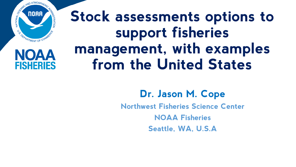

**NOAA** 

**FISHERIES** 

# **Stock assessments options to support fisheries management, with examples from the United States**

**Dr. Jason M. Cope Northwest Fisheries Science Center NOAA Fisheries Seattle, WA, U.S.A**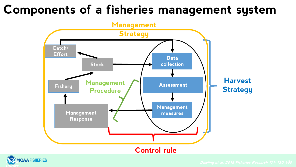## **Components of a fisheries management system**





**9/6/2021 2 Dowling et al. 2015 Fisheries Research 171: 130-140**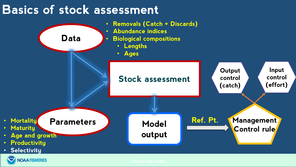### **Basics of stock assessment**

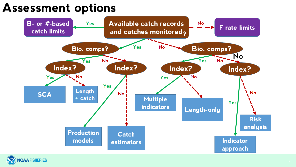#### **Assessment options**



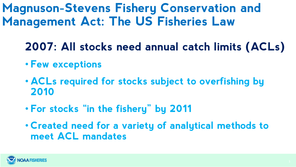**Magnuson-Stevens Fishery Conservation and Management Act: The US Fisheries Law**

- **2007: All stocks need annual catch limits (ACLs)**
- **Few exceptions**
- **ACLs required for stocks subject to overfishing by 2010**
- **For stocks "in the fishery" by 2011**
- **Created need for a variety of analytical methods to meet ACL mandates**

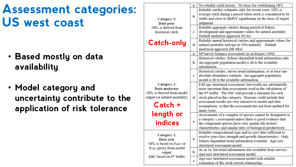## **Assessment categories: US west coast**

- **Based mostly on data availability**
- **Model category and uncertainty contribute to the application of risk tolerance**

|                                                                                        | a | No reliable catch history. No basis for establishing OFL.     |
|----------------------------------------------------------------------------------------|---|---------------------------------------------------------------|
| Category 3:<br>Data poor.                                                              | b | Reliable catches estimates only for recent years. OFL is      |
|                                                                                        |   | average catch during a period when stock is considered to be  |
|                                                                                        |   | stable and close to BMSY equilibrium on the basis of expert   |
|                                                                                        |   | judgment.                                                     |
| OFL is derived from                                                                    |   | Reliable aggregate catches during period of fishery           |
| historical catch.                                                                      | c | development and approximate values for natural mortality.     |
|                                                                                        |   | Default analytical approach DCAC.                             |
|                                                                                        |   | Reliable annual historical catches and approximate values for |
| <b>Catch-only</b>                                                                      | d | natural mortality and age at 50% maturity. Default            |
|                                                                                        |   | analytical approach DB-SRA.                                   |
|                                                                                        | a | M*survey biomass assessment (as in Rogers 1996).              |
|                                                                                        |   | Historical catches, fishery-dependent trend information only. |
|                                                                                        | b | An aggregate population model is fit to the available         |
|                                                                                        |   | information.                                                  |
|                                                                                        |   | Historical catches, survey trend information, or at least one |
|                                                                                        | c | absolute abundance estimate. An aggregate population          |
|                                                                                        |   | model is fit to the available information.                    |
| Category 2:                                                                            |   | Full age-structured assessment, but results are substantially |
| Data moderate.                                                                         |   | more uncertain than assessments used in the calculation of    |
| OFL is derived from model                                                              |   | the P* buffer. The SSC will provide a rationale for each      |
| output (or natural mortality).                                                         | d | stock placed in this category. Reasons could include that     |
|                                                                                        |   | assessment results are very sensitive to model and data       |
| Catch +                                                                                |   | assumptions, or that the assessment has not been updated for  |
|                                                                                        |   | many years.                                                   |
| length or                                                                              | е | Assessments of a complex of species cannot be designated as   |
|                                                                                        |   | a category 1 assessment unless there is good evidence that    |
| <b>indices</b>                                                                         |   | the component species have very similar life-history          |
|                                                                                        |   | characteristics and similar rates of biological productivity. |
|                                                                                        |   | Reliable compositional (age and/or size) data sufficient to   |
| Category 1:                                                                            |   | resolve year-class strength and growth characteristics. Only  |
| Data rich.                                                                             | a | fishery-dependent trend information available. Age/size       |
| OFL is based on FMSY or<br>FMSY proxy from model<br>output.<br>ABC based on P* buffer. |   | structured assessment model.                                  |
|                                                                                        | b | As in 1a, but trend information also available from surveys.  |
|                                                                                        |   | Age/size structured assessment model.                         |
|                                                                                        |   | Age/size structured assessment model with reliable            |
|                                                                                        | c | estimation of the stock-recruit relationship.                 |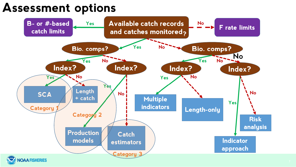#### **Assessment options**

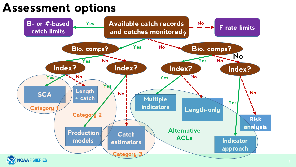#### **Assessment options**

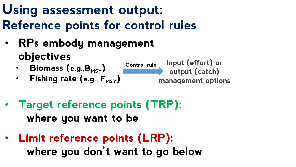## **Using assessment output: Reference points for control rules**

- **RPs embody management objectives Control rule Input (effort) or** 
	- **Biomass (e.g.,B<sub>MSY</sub>)**

• **Fishing rate (e.g., FMSY)**

**output (catch) management options**

- **Target reference points (TRP): where you want to be**
- **Limit reference points (LRP): where you don't want to go below**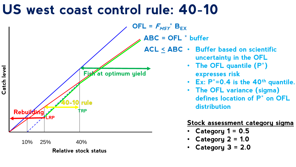## US west coast control rule: 40-10



10% 25% 40%

Department of the control of the control of the control of the control of the control of the control of the control of the control of the control of the control of the control of the control of the control of the control o **Relative stock status**

**expresses risk** • **Ex: P\*=0.4 is the 40th quantile.**

• **The OFL variance (sigma) defines location of P\* on OFL distribution**

#### **Stock assessment category sigma**

- **Category 1 = 0.5**
- **Category 2 = 1.0**
- **Category 3 = 2.0**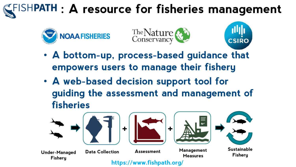# **FISHPATH : A resource for fisheries management**





- **CSIRO**
- **A bottom-up, process-based guidance that empowers users to manage their fishery**
- **A web-based decision support tool for guiding the assessment and management of fisheries**

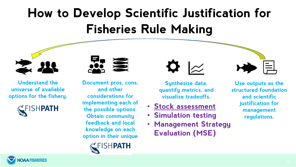# **How to Develop Scientific Justification for Fisheries Rule Making**



**Understand the universe of available options for the fishery.**



**Document pros, cons, and other considerations for implementing each of the possible options. Obtain community feedback and local knowledge on each option in their unique** 







- **Stock assessment**
- **Simulation testing**
- **Management Strategy Evaluation (MSE)**



**Use outputs as the structured foundation and scientific justification for management regulations.**